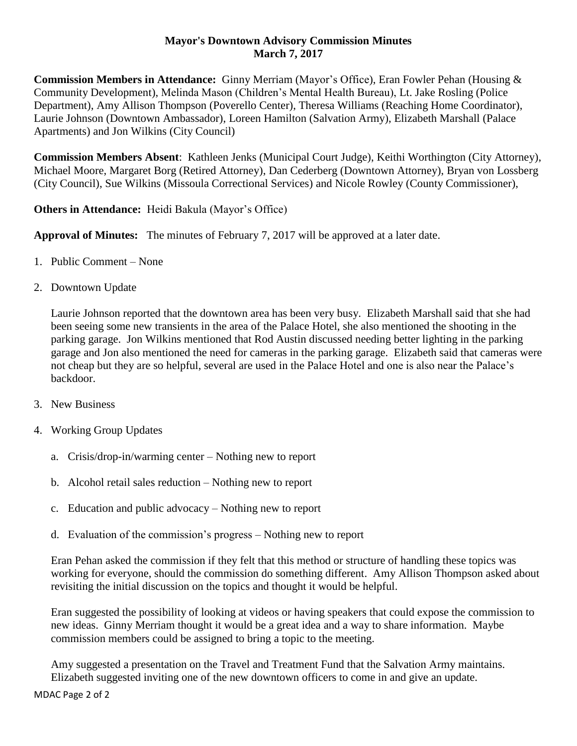## **Mayor's Downtown Advisory Commission Minutes March 7, 2017**

**Commission Members in Attendance:** Ginny Merriam (Mayor's Office), Eran Fowler Pehan (Housing & Community Development), Melinda Mason (Children's Mental Health Bureau), Lt. Jake Rosling (Police Department), Amy Allison Thompson (Poverello Center), Theresa Williams (Reaching Home Coordinator), Laurie Johnson (Downtown Ambassador), Loreen Hamilton (Salvation Army), Elizabeth Marshall (Palace Apartments) and Jon Wilkins (City Council)

**Commission Members Absent**: Kathleen Jenks (Municipal Court Judge), Keithi Worthington (City Attorney), Michael Moore, Margaret Borg (Retired Attorney), Dan Cederberg (Downtown Attorney), Bryan von Lossberg (City Council), Sue Wilkins (Missoula Correctional Services) and Nicole Rowley (County Commissioner),

**Others in Attendance:** Heidi Bakula (Mayor's Office)

**Approval of Minutes:** The minutes of February 7, 2017 will be approved at a later date.

- 1. Public Comment None
- 2. Downtown Update

Laurie Johnson reported that the downtown area has been very busy. Elizabeth Marshall said that she had been seeing some new transients in the area of the Palace Hotel, she also mentioned the shooting in the parking garage. Jon Wilkins mentioned that Rod Austin discussed needing better lighting in the parking garage and Jon also mentioned the need for cameras in the parking garage. Elizabeth said that cameras were not cheap but they are so helpful, several are used in the Palace Hotel and one is also near the Palace's backdoor.

- 3. New Business
- 4. Working Group Updates
	- a. Crisis/drop-in/warming center Nothing new to report
	- b. Alcohol retail sales reduction Nothing new to report
	- c. Education and public advocacy Nothing new to report
	- d. Evaluation of the commission's progress Nothing new to report

Eran Pehan asked the commission if they felt that this method or structure of handling these topics was working for everyone, should the commission do something different. Amy Allison Thompson asked about revisiting the initial discussion on the topics and thought it would be helpful.

Eran suggested the possibility of looking at videos or having speakers that could expose the commission to new ideas. Ginny Merriam thought it would be a great idea and a way to share information. Maybe commission members could be assigned to bring a topic to the meeting.

Amy suggested a presentation on the Travel and Treatment Fund that the Salvation Army maintains. Elizabeth suggested inviting one of the new downtown officers to come in and give an update.